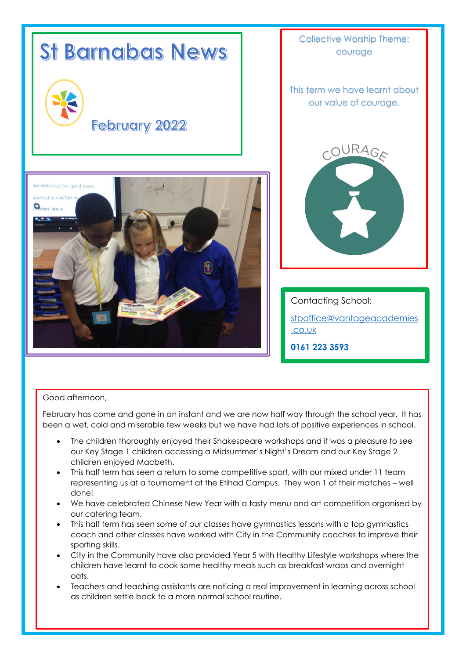

# Good afternoon,

February has come and gone in an instant and we are now half way through the school year. It has been a wet, cold and miserable few weeks but we have had lots of positive experiences in school.

- The children thoroughly enjoyed their Shakespeare workshops and it was a pleasure to see our Key Stage 1 children accessing a Midsummer's Night's Dream and our Key Stage 2 children enjoyed Macbeth.
- This half term has seen a return to some competitive sport, with our mixed under 11 team representing us at a tournament at the Etihad Campus. They won 1 of their matches – well done!
- We have celebrated Chinese New Year with a tasty menu and art competition organised by our catering team.
- This half term has seen some of our classes have gymnastics lessons with a top gymnastics coach and other classes have worked with City in the Community coaches to improve their sporting skills.
- City in the Community have also provided Year 5 with Healthy Lifestyle workshops where the children have learnt to cook some healthy meals such as breakfast wraps and overnight oats.
- Teachers and teaching assistants are noticing a real improvement in learning across school as children settle back to a more normal school routine.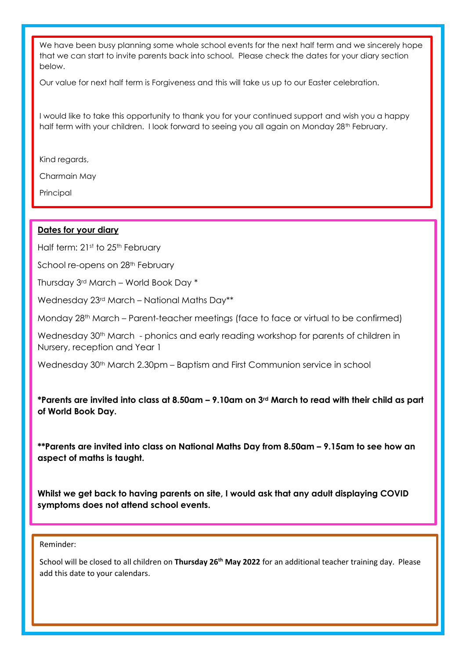We have been busy planning some whole school events for the next half term and we sincerely hope that we can start to invite parents back into school. Please check the dates for your diary section below.

Our value for next half term is Forgiveness and this will take us up to our Easter celebration.

I would like to take this opportunity to thank you for your continued support and wish you a happy half term with your children. I look forward to seeing you all again on Monday 28<sup>th</sup> February.

Kind regards,

Charmain May

Principal

# **Dates for your diary**

Half term: 21st to 25th February

School re-opens on 28<sup>th</sup> February

Thursday 3rd March – World Book Day \*

Wednesday 23rd March – National Maths Day\*\*

Monday 28th March – Parent-teacher meetings (face to face or virtual to be confirmed)

Wednesday 30<sup>th</sup> March - phonics and early reading workshop for parents of children in Nursery, reception and Year 1

Wednesday 30<sup>th</sup> March 2.30pm – Baptism and First Communion service in school

# **\*Parents are invited into class at 8.50am – 9.10am on 3rd March to read with their child as part of World Book Day.**

**\*\*Parents are invited into class on National Maths Day from 8.50am – 9.15am to see how an aspect of maths is taught.**

**Whilst we get back to having parents on site, I would ask that any adult displaying COVID symptoms does not attend school events.**

#### Reminder:

School will be closed to all children on **Thursday 26th May 2022** for an additional teacher training day. Please add this date to your calendars.